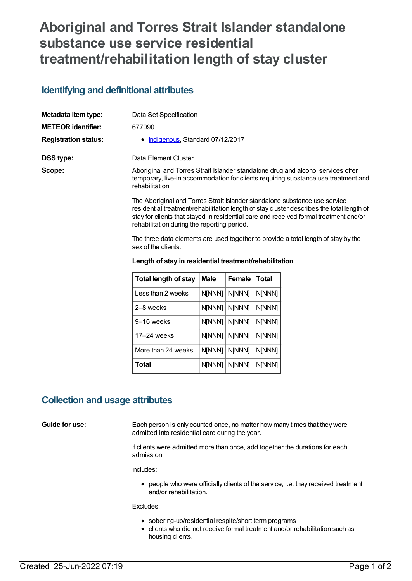## **Aboriginal and Torres Strait Islander standalone substance use service residential treatment/rehabilitation length of stay cluster**

### **Identifying and definitional attributes**

| Metadata item type:         | Data Set Specification                                                                                                                                                                                                                                                                                          |  |  |
|-----------------------------|-----------------------------------------------------------------------------------------------------------------------------------------------------------------------------------------------------------------------------------------------------------------------------------------------------------------|--|--|
| <b>METEOR identifier:</b>   | 677090                                                                                                                                                                                                                                                                                                          |  |  |
| <b>Registration status:</b> | • Indigenous, Standard 07/12/2017                                                                                                                                                                                                                                                                               |  |  |
| DSS type:                   | Data Element Cluster                                                                                                                                                                                                                                                                                            |  |  |
| Scope:                      | Aboriginal and Torres Strait Islander standalone drug and alcohol services offer<br>temporary, live-in accommodation for clients requiring substance use treatment and<br>rehabilitation.                                                                                                                       |  |  |
|                             | The Aboriginal and Torres Strait Islander standalone substance use service<br>residential treatment/rehabilitation length of stay cluster describes the total length of<br>stay for clients that stayed in residential care and received formal treatment and/or<br>rehabilitation during the reporting period. |  |  |
|                             | The three data elements are used together to provide a total length of stay by the<br>sex of the clients.                                                                                                                                                                                                       |  |  |

| <b>Total length of stay</b> | Male          | Female        | <b>Total</b> |  |
|-----------------------------|---------------|---------------|--------------|--|
| Less than 2 weeks           | N[NNN]        | N[NNN]        | N[NNN]       |  |
| 2-8 weeks                   | <b>N[NNN]</b> | N[NNN]        | N[NNN]       |  |
| 9–16 weeks                  | N[NNN]        | N[NNN]        | N[NNN]       |  |
| 17–24 weeks                 | N[NNN]        | <b>N[NNN]</b> | N[NNN]       |  |
| More than 24 weeks          | N[NNN]        | <b>N[NNN]</b> | N[NNN]       |  |
| Total                       | N[NNN]        | N[NNN]        | N[NNN]       |  |

#### **Length of stay in residential treatment/rehabilitation**

### **Collection and usage attributes**

**Guide for use:** Each person is only counted once, no matter how many times that they were admitted into residential care during the year.

> If clients were admitted more than once, add together the durations for each admission.

Includes:

people who were officially clients of the service, i.e. they received treatment and/or rehabilitation.

Excludes:

- sobering-up/residential respite/short term programs
- clients who did not receive formal treatment and/or rehabilitation such as housing clients.